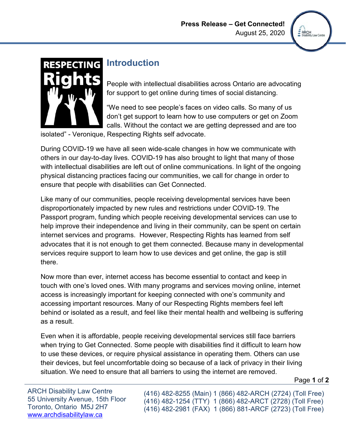

# **RESPECTING**

# **Introduction**

People with intellectual disabilities across Ontario are advocating for support to get online during times of social distancing.

"We need to see people's faces on video calls. So many of us don't get support to learn how to use computers or get on Zoom calls. Without the contact we are getting depressed and are too

isolated" - Veronique, Respecting Rights self advocate.

During COVID-19 we have all seen wide-scale changes in how we communicate with others in our day-to-day lives. COVID-19 has also brought to light that many of those with intellectual disabilities are left out of online communications. In light of the ongoing physical distancing practices facing our communities, we call for change in order to ensure that people with disabilities can Get Connected.

Like many of our communities, people receiving developmental services have been disproportionately impacted by new rules and restrictions under COVID-19. The Passport program, funding which people receiving developmental services can use to help improve their independence and living in their community, can be spent on certain internet services and programs. However, Respecting Rights has learned from self advocates that it is not enough to get them connected. Because many in developmental services require support to learn how to use devices and get online, the gap is still there.

 accessing important resources. Many of our Respecting Rights members feel left Now more than ever, internet access has become essential to contact and keep in touch with one's loved ones. With many programs and services moving online, internet access is increasingly important for keeping connected with one's community and behind or isolated as a result, and feel like their mental health and wellbeing is suffering as a result.

 their devices, but feel uncomfortable doing so because of a lack of privacy in their living situation. We need to ensure that all barriers to using the internet are removed. Even when it is affordable, people receiving developmental services still face barriers when trying to Get Connected. Some people with disabilities find it difficult to learn how to use these devices, or require physical assistance in operating them. Others can use

Page **1** of **2** 

ARCH Disability Law Centre (416) 482-8255 (Main) 1 (866) 482-ARCH (2724) (Toll Free)<br>55 University Avenue, 15th Floor (416) 482-1254 (TTY) 1 (866) 482-ARCT (2728) (Toll Free)<br>Toronto, Ontario M5J 2H7 (416) 482-2981 (FAX) 1